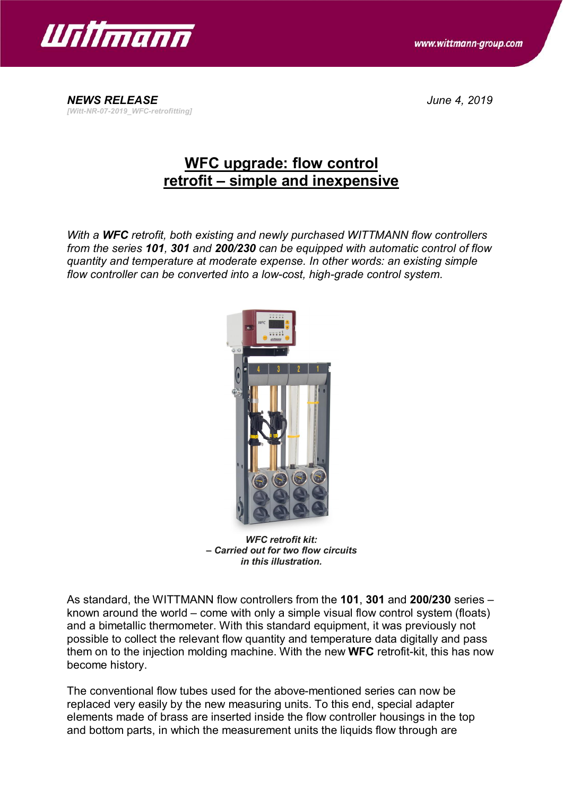



*NEWS RELEASE June 4, 2019 [Witt-NR-07-2019\_WFC-retrofitting]*

# **WFC upgrade: flow control retrofit – simple and inexpensive**

*With a WFC retrofit, both existing and newly purchased WITTMANN flow controllers from the series 101, 301 and 200/230 can be equipped with automatic control of flow quantity and temperature at moderate expense. In other words: an existing simple flow controller can be converted into a low-cost, high-grade control system.*



*WFC retrofit kit: – Carried out for two flow circuits in this illustration.*

As standard, the WITTMANN flow controllers from the **101**, **301** and **200/230** series – known around the world – come with only a simple visual flow control system (floats) and a bimetallic thermometer. With this standard equipment, it was previously not possible to collect the relevant flow quantity and temperature data digitally and pass them on to the injection molding machine. With the new **WFC** retrofit-kit, this has now become history.

The conventional flow tubes used for the above-mentioned series can now be replaced very easily by the new measuring units. To this end, special adapter elements made of brass are inserted inside the flow controller housings in the top and bottom parts, in which the measurement units the liquids flow through are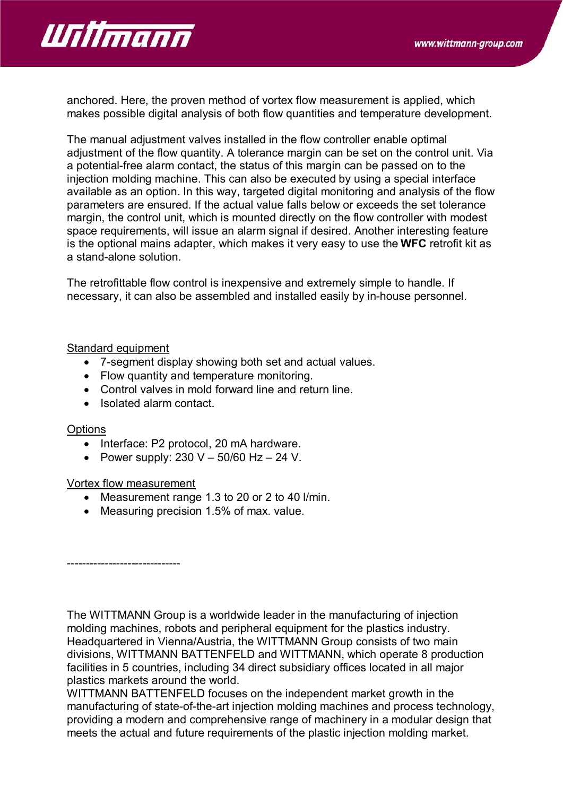

anchored. Here, the proven method of vortex flow measurement is applied, which makes possible digital analysis of both flow quantities and temperature development.

The manual adjustment valves installed in the flow controller enable optimal adjustment of the flow quantity. A tolerance margin can be set on the control unit. Via a potential-free alarm contact, the status of this margin can be passed on to the injection molding machine. This can also be executed by using a special interface available as an option. In this way, targeted digital monitoring and analysis of the flow parameters are ensured. If the actual value falls below or exceeds the set tolerance margin, the control unit, which is mounted directly on the flow controller with modest space requirements, will issue an alarm signal if desired. Another interesting feature is the optional mains adapter, which makes it very easy to use the **WFC** retrofit kit as a stand-alone solution.

The retrofittable flow control is inexpensive and extremely simple to handle. If necessary, it can also be assembled and installed easily by in-house personnel.

### Standard equipment

- · 7-segment display showing both set and actual values.
- · Flow quantity and temperature monitoring.
- · Control valves in mold forward line and return line.
- · Isolated alarm contact.

### **Options**

- · Interface: P2 protocol, 20 mA hardware.
- Power supply:  $230 V 50/60 Hz 24 V$ .

### Vortex flow measurement

------------------------------

- · Measurement range 1.3 to 20 or 2 to 40 l/min.
- · Measuring precision 1.5% of max. value.

The WITTMANN Group is a worldwide leader in the manufacturing of injection molding machines, robots and peripheral equipment for the plastics industry. Headquartered in Vienna/Austria, the WITTMANN Group consists of two main divisions, WITTMANN BATTENFELD and WITTMANN, which operate 8 production facilities in 5 countries, including 34 direct subsidiary offices located in all major plastics markets around the world.

WITTMANN BATTENFELD focuses on the independent market growth in the manufacturing of state-of-the-art injection molding machines and process technology, providing a modern and comprehensive range of machinery in a modular design that meets the actual and future requirements of the plastic injection molding market.